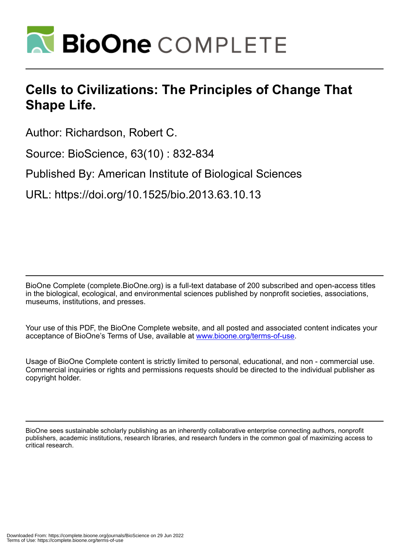

# **Cells to Civilizations: The Principles of Change That Shape Life.**

Author: Richardson, Robert C.

Source: BioScience, 63(10) : 832-834

Published By: American Institute of Biological Sciences

URL: https://doi.org/10.1525/bio.2013.63.10.13

BioOne Complete (complete.BioOne.org) is a full-text database of 200 subscribed and open-access titles in the biological, ecological, and environmental sciences published by nonprofit societies, associations, museums, institutions, and presses.

Your use of this PDF, the BioOne Complete website, and all posted and associated content indicates your acceptance of BioOne's Terms of Use, available at www.bioone.org/terms-of-use.

Usage of BioOne Complete content is strictly limited to personal, educational, and non - commercial use. Commercial inquiries or rights and permissions requests should be directed to the individual publisher as copyright holder.

BioOne sees sustainable scholarly publishing as an inherently collaborative enterprise connecting authors, nonprofit publishers, academic institutions, research libraries, and research funders in the common goal of maximizing access to critical research.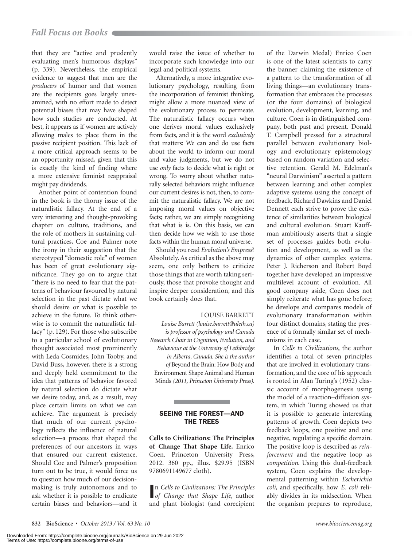that they are "active and prudently evaluating men's humorous displays" (p. 339). Nevertheless, the empirical evidence to suggest that men are the *producers* of humor and that women are the recipients goes largely unexamined, with no effort made to detect potential biases that may have shaped how such studies are conducted. At best, it appears as if women are actively allowing males to place them in the passive recipient position. This lack of a more critical approach seems to be an opportunity missed, given that this is exactly the kind of finding where a more extensive feminist reappraisal might pay dividends.

Another point of contention found in the book is the thorny issue of the naturalistic fallacy. At the end of a very interesting and thought-provoking chapter on culture, traditions, and the role of mothers in sustaining cultural practices, Coe and Palmer note the irony in their suggestion that the stereotyped "domestic role" of women has been of great evolutionary significance. They go on to argue that "there is no need to fear that the patterns of behaviour favoured by natural selection in the past dictate what we should desire or what is possible to achieve in the future. To think otherwise is to commit the naturalistic fallacy" (p. 129). For those who subscribe to a particular school of evolutionary thought associated most prominently with Leda Cosmides, John Tooby, and David Buss, however, there is a strong and deeply held commitment to the idea that patterns of behavior favored by natural selection do dictate what we desire today, and, as a result, may place certain limits on what we can achieve. The argument is precisely that much of our current psychology reflects the influence of natural selection—a process that shaped the preferences of our ancestors in ways that ensured our current existence. Should Coe and Palmer's proposition turn out to be true, it would force us to question how much of our decisionmaking is truly autonomous and to ask whether it is possible to eradicate certain biases and behaviors—and it

would raise the issue of whether to incorporate such knowledge into our legal and political systems.

Alternatively, a more integrative evolutionary psychology, resulting from the incorporation of feminist thinking, might allow a more nuanced view of the evolutionary process to permeate. The naturalistic fallacy occurs when one derives moral values exclusively from facts, and it is the word *exclusively* that matters: We can and do use facts about the world to inform our moral and value judgments, but we do not use *only* facts to decide what is right or wrong. To worry about whether naturally selected behaviors might influence our current desires is not, then, to commit the naturalistic fallacy. We are not imposing moral values on objective facts; rather, we are simply recognizing that what is is. On this basis, we can then decide how we wish to use those facts within the human moral universe.

Should you read *Evolution's Empress*? Absolutely. As critical as the above may seem, one only bothers to criticize those things that are worth taking seriously, those that provoke thought and inspire deeper consideration, and this book certainly does that.

## LOUISE BARRETT

*Louise Barrett (louise.barrett@uleth.ca) is professor of psychology and Canada Research Chair in Cognition, Evolution, and Behaviour at the University of Lethbridge in Alberta, Canada. She is the author of* Beyond the Brain: How Body and Environment Shape Animal and Human Minds *(2011, Princeton University Press).*

# SEEING THE FOREST—AND THE TREES

**Cells to Civilizations: The Principles of Change That Shape Life.** Enrico Coen. Princeton University Press, 2012. 360 pp., illus. \$29.95 (ISBN 9780691149677 cloth).

I *of Change that Shape Life*, author n *Cells to Civilizations: The Principles*  and plant biologist (and corecipient of the Darwin Medal) Enrico Coen is one of the latest scientists to carry the banner claiming the existence of a pattern to the transformation of all living things—an evolutionary transformation that embraces the processes (or the four domains) of biological evolution, development, learning, and culture. Coen is in distinguished company, both past and present. Donald T. Campbell pressed for a structural parallel between evolutionary biology and evolutionary epistemology based on random variation and selective retention. Gerald M. Edelman's "neural Darwinism" asserted a pattern between learning and other complex adaptive systems using the concept of feedback. Richard Dawkins and Daniel Dennett each strive to prove the existence of similarities between biological and cultural evolution. Stuart Kauffman ambitiously asserts that a single set of processes guides both evolution and development, as well as the dynamics of other complex systems. Peter J. Richerson and Robert Boyd together have developed an impressive multilevel account of evolution. All good company aside, Coen does not simply reiterate what has gone before; he develops and compares models of evolutionary transformation within four distinct domains, stating the presence of a formally similar set of mechanisms in each case.

In *Cells to Civilizations*, the author identifies a total of seven principles that are involved in evolutionary transformation, and the core of his approach is rooted in Alan Turing's (1952) classic account of morphogenesis using the model of a reaction–diffusion system, in which Turing showed us that it is possible to generate interesting patterns of growth. Coen depicts two feedback loops, one positive and one negative, regulating a specific domain. The positive loop is described as *reinforcement* and the negative loop as *competition*. Using this dual-feedback system, Coen explains the developmental patterning within *Escherichia coli*, and specifically, how *E. coli* reliably divides in its midsection. When the organism prepares to reproduce,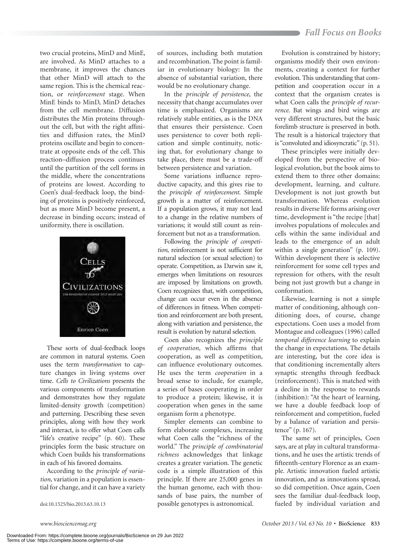two crucial proteins, MinD and MinE, are involved. As MinD attaches to a membrane, it improves the chances that other MinD will attach to the same region. This is the chemical reaction, or *reinforcement* stage. When MinE binds to MinD, MinD detaches from the cell membrane. Diffusion distributes the Min proteins throughout the cell, but with the right affinities and diffusion rates, the MinD proteins oscillate and begin to concentrate at opposite ends of the cell. This reaction–diffusion process continues until the partition of the cell forms in the middle, where the concentrations of proteins are lowest. According to Coen's dual-feedback loop, the binding of proteins is positively reinforced, but as more MinD become present, a decrease in binding occurs; instead of uniformity, there is oscillation.



These sorts of dual-feedback loops are common in natural systems. Coen uses the term *transformation* to capture changes in living systems over time. *Cells to Civilizations* presents the various components of transformation and demonstrates how they regulate limited-density growth (competition) and patterning. Describing these seven principles, along with how they work and interact, is to offer what Coen calls "life's creative recipe" (p. 60). These principles form the basic structure on which Coen builds his transformations in each of his favored domains.

According to the *principle of variation*, variation in a population is essential for change, and it can have a variety

of sources, including both mutation and recombination. The point is familiar in evolutionary biology: In the absence of substantial variation, there would be no evolutionary change.

In the *principle of persistence*, the necessity that change accumulates over time is emphasized. Organisms are relatively stable entities, as is the DNA that ensures their persistence. Coen uses persistence to cover both replication and simple continuity, noticing that, for evolutionary change to take place, there must be a trade-off between persistence and variation.

Some variations influence reproductive capacity, and this gives rise to the *principle of reinforcement*. Simple growth is a matter of reinforcement. If a population grows, it may not lead to a change in the relative numbers of variations; it would still count as reinforcement but not as a transformation.

Following the *principle of competition*, reinforcement is not sufficient for natural selection (or sexual selection) to operate. Competition, as Darwin saw it, emerges when limitations on resources are imposed by limitations on growth. Coen recognizes that, with competition, change can occur even in the absence of differences in fitness. When competition and reinforcement are both present, along with variation and persistence, the result is evolution by natural selection.

Coen also recognizes the *principle of cooperation*, which affirms that cooperation, as well as competition, can influence evolutionary outcomes. He uses the term *cooperation* in a broad sense to include, for example, a series of bases cooperating in order to produce a protein; likewise, it is cooperation when genes in the same organism form a phenotype.

Simpler elements can combine to form elaborate complexes, increasing what Coen calls the "richness of the world." The *principle of combinatorial richness* acknowledges that linkage creates a greater variation. The genetic code is a simple illustration of this principle. If there are 25,000 genes in the human genome, each with thousands of base pairs, the number of doi:10.1525/bio.2013.63.10.13 possible genotypes is astronomical.

Evolution is constrained by history; organisms modify their own environments, creating a context for further evolution. This understanding that competition and cooperation occur in a context that the organism creates is what Coen calls the *principle of recurrence*. Bat wings and bird wings are very different structures, but the basic forelimb structure is preserved in both. The result is a historical trajectory that is "convoluted and idiosyncratic" (p. 51).

These principles were initially developed from the perspective of biological evolution, but the book aims to extend them to three other domains: development, learning, and culture. Development is not just growth but transformation. Whereas evolution results in diverse life forms arising over time, development is "the recipe [that] involves populations of molecules and cells within the same individual and leads to the emergence of an adult within a single generation" (p. 109). Within development there is selective reinforcement for some cell types and repression for others, with the result being not just growth but a change in conformation.

Likewise, learning is not a simple matter of conditioning, although conditioning does, of course, change expectations. Coen uses a model from Montague and colleagues (1996) called *temporal difference learning* to explain the change in expectations. The details are interesting, but the core idea is that conditioning incrementally alters synaptic strengths through feedback (reinforcement). This is matched with a decline in the response to rewards (inhibition): "At the heart of learning, we have a double feedback loop of reinforcement and competition, fueled by a balance of variation and persistence" (p. 167).

The same set of principles, Coen says, are at play in cultural transformations, and he uses the artistic trends of fifteenth-century Florence as an example. Artistic innovation fueled artistic innovation, and as innovations spread, so did competition. Once again, Coen sees the familiar dual-feedback loop, fueled by individual variation and